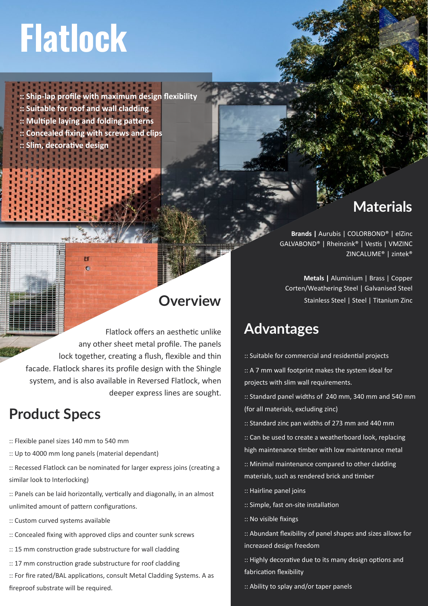# **Flatlock**

**:: Ship-lap profile with maximum design flexibility :: Suitable for roof and wall cladding :: Multiple laying and folding patterns :: Concealed fixing with screws and clips :: Slim, decorative design**

 $\epsilon$ 

# **Overview**

Flatlock offers an aesthetic unlike any other sheet metal profile. The panels lock together, creating a flush, flexible and thin facade. Flatlock shares its profile design with the Shingle system, and is also available in Reversed Flatlock, when deeper express lines are sought.

## **Product Specs**

- :: Flexible panel sizes 140 mm to 540 mm
- :: Up to 4000 mm long panels (material dependant)
- :: Recessed Flatlock can be nominated for larger express joins (creating a similar look to Interlocking)
- :: Panels can be laid horizontally, vertically and diagonally, in an almost unlimited amount of pattern configurations.
- :: Custom curved systems available
- :: Concealed fixing with approved clips and counter sunk screws
- :: 15 mm construction grade substructure for wall cladding
- :: 17 mm construction grade substructure for roof cladding
- :: For fire rated/BAL applications, consult Metal Cladding Systems. A as fireproof substrate will be required.

#### **Materials**

**Brands |** Aurubis | COLORBOND® | elZinc GALVABOND® | Rheinzink® | Vestis | VMZINC ZINCALUME® | zintek®

**Metals |** Aluminium | Brass | Copper Corten/Weathering Steel | Galvanised Steel Stainless Steel | Steel | Titanium Zinc

### **Advantages**

:: Suitable for commercial and residential projects

:: A 7 mm wall footprint makes the system ideal for projects with slim wall requirements.

:: Standard panel widths of 240 mm, 340 mm and 540 mm (for all materials, excluding zinc)

:: Standard zinc pan widths of 273 mm and 440 mm

:: Can be used to create a weatherboard look, replacing high maintenance timber with low maintenance metal

:: Minimal maintenance compared to other cladding materials, such as rendered brick and timber

- :: Hairline panel joins
- :: Simple, fast on-site installation

:: No visible fixings

:: Abundant flexibility of panel shapes and sizes allows for increased design freedom

:: Highly decorative due to its many design options and fabrication flexibility

:: Ability to splay and/or taper panels